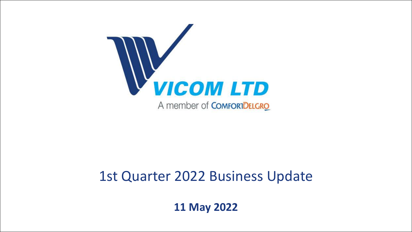

## 1st Quarter 2022 Business Update

**11 May 2022**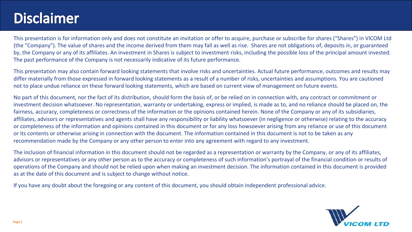## **Disclaimer**

This presentation is for information only and does not constitute an invitation or offer to acquire, purchase or subscribe for shares ("Shares") in VICOM Ltd (the "Company"). The value of shares and the income derived from them may fall as well as rise. Shares are not obligations of, deposits in, or guaranteed by, the Company or any of its affiliates. An investment in Shares is subject to investment risks, including the possible loss of the principal amount invested. The past performance of the Company is not necessarily indicative of its future performance.

This presentation may also contain forward looking statements that involve risks and uncertainties. Actual future performance, outcomes and results may differ materially from those expressed in forward looking statements as a result of a number of risks, uncertainties and assumptions. You are cautioned not to place undue reliance on these forward looking statements, which are based on current view of management on future events.

No part of this document, nor the fact of its distribution, should form the basis of, or be relied on in connection with, any contract or commitment or investment decision whatsoever. No representation, warranty or undertaking, express or implied, is made as to, and no reliance should be placed on, the fairness, accuracy, completeness or correctness of the information or the opinions contained herein. None of the Company or any of its subsidiaries, affiliates, advisors or representatives and agents shall have any responsibility or liability whatsoever (in negligence or otherwise) relating to the accuracy or completeness of the information and opinions contained in this document or for any loss howsoever arising from any reliance or use of this document or its contents or otherwise arising in connection with the document. The information contained in this document is not to be taken as any recommendation made by the Company or any other person to enter into any agreement with regard to any investment.

The inclusion of financial information in this document should not be regarded as a representation or warranty by the Company, or any of its affiliates, advisors or representatives or any other person as to the accuracy or completeness of such information's portrayal of the financial condition or results of operations of the Company and should not be relied upon when making an investment decision. The information contained in this document is provided as at the date of this document and is subject to change without notice.

If you have any doubt about the foregoing or any content of this document, you should obtain independent professional advice.

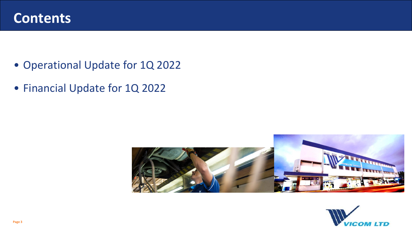

- Operational Update for 1Q 2022
- Financial Update for 1Q 2022



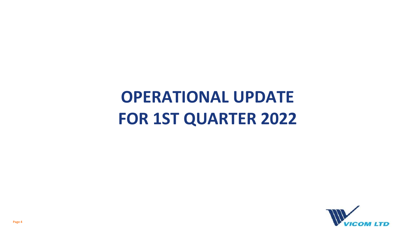# **OPERATIONAL UPDATE FOR 1ST QUARTER 2022**

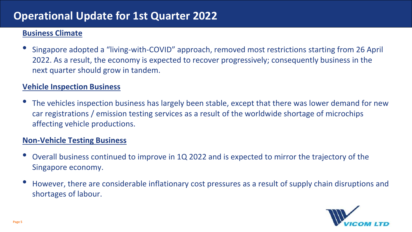## **Operational Update for 1st Quarter 2022**

#### **Business Climate**

• Singapore adopted a "living-with-COVID" approach, removed most restrictions starting from 26 April 2022. As a result, the economy is expected to recover progressively; consequently business in the next quarter should grow in tandem.

#### **Vehicle Inspection Business**

The vehicles inspection business has largely been stable, except that there was lower demand for new car registrations / emission testing services as a result of the worldwide shortage of microchips affecting vehicle productions.

#### **Non-Vehicle Testing Business**

- Overall business continued to improve in 1Q 2022 and is expected to mirror the trajectory of the Singapore economy.
- However, there are considerable inflationary cost pressures as a result of supply chain disruptions and shortages of labour.

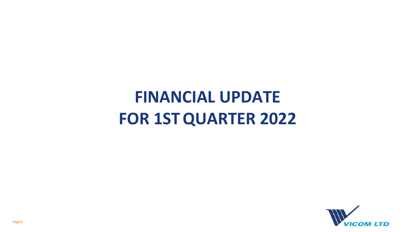# **FINANCIAL UPDATE FOR 1STQUARTER 2022**

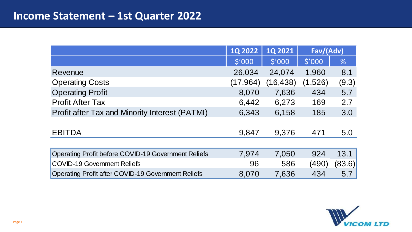## **Income Statement – 1st Quarter 2022**

|                                                            | <b>1Q 2022</b> | <b>1Q2021</b> | Fav/(Adv) |        |
|------------------------------------------------------------|----------------|---------------|-----------|--------|
|                                                            | \$'000         | \$'000        | \$'000    | %      |
| Revenue                                                    | 26,034         | 24,074        | 1,960     | 8.1    |
| <b>Operating Costs</b>                                     | (17, 964)      | (16, 438)     | (1,526)   | (9.3)  |
| <b>Operating Profit</b>                                    | 8,070          | 7,636         | 434       | 5.7    |
| <b>Profit After Tax</b>                                    | 6,442          | 6,273         | 169       | 2.7    |
| Profit after Tax and Minority Interest (PATMI)             | 6,343          | 6,158         | 185       | 3.0    |
|                                                            |                |               |           |        |
| <b>EBITDA</b>                                              | 9,847          | 9,376         | 471       | 5.0    |
|                                                            |                |               |           |        |
| <b>Operating Profit before COVID-19 Government Reliefs</b> | 7,974          | 7,050         | 924       | 13.1   |
| <b>COVID-19 Government Reliefs</b>                         | 96             | 586           | (490)     | (83.6) |
| Operating Profit after COVID-19 Government Reliefs         | 8,070          | 7,636         | 434       | 5.7    |

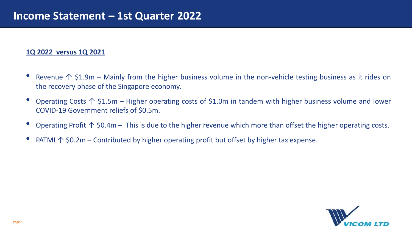#### **1Q 2022 versus 1Q 2021**

- Revenue  $\uparrow$  \$1.9m Mainly from the higher business volume in the non-vehicle testing business as it rides on the recovery phase of the Singapore economy.
- Operating Costs  $\uparrow$  \$1.5m Higher operating costs of \$1.0m in tandem with higher business volume and lower COVID-19 Government reliefs of \$0.5m.
- Operating Profit  $\uparrow$  \$0.4m This is due to the higher revenue which more than offset the higher operating costs.
- **PATMI ↑ \$0.2m Contributed by higher operating profit but offset by higher tax expense.**

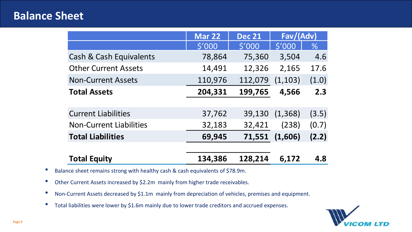### **Balance Sheet**

|                                | <b>Mar 22</b>   | <b>Dec 21</b> | Fav/(Adv) |       |
|--------------------------------|-----------------|---------------|-----------|-------|
|                                | $$^{\prime}000$ | \$'000        | \$'000    | $\%$  |
| Cash & Cash Equivalents        | 78,864          | 75,360        | 3,504     | 4.6   |
| <b>Other Current Assets</b>    | 14,491          | 12,326        | 2,165     | 17.6  |
| <b>Non-Current Assets</b>      | 110,976         | 112,079       | (1, 103)  | (1.0) |
| <b>Total Assets</b>            | 204,331         | 199,765       | 4,566     | 2.3   |
|                                |                 |               |           |       |
| <b>Current Liabilities</b>     | 37,762          | 39,130        | (1, 368)  | (3.5) |
| <b>Non-Current Liabilities</b> | 32,183          | 32,421        | (238)     | (0.7) |
| <b>Total Liabilities</b>       | 69,945          | 71,551        | (1,606)   | (2.2) |
|                                |                 |               |           |       |
| <b>Total Equity</b>            | 134,386         | 128,214       | 6,172     | 4.8   |

- Balance sheet remains strong with healthy cash & cash equivalents of \$78.9m.
- Other Current Assets increased by \$2.2m mainly from higher trade receivables.
- Non-Current Assets decreased by \$1.1m mainly from depreciation of vehicles, premises and equipment.
- Total liabilities were lower by \$1.6m mainly due to lower trade creditors and accrued expenses.

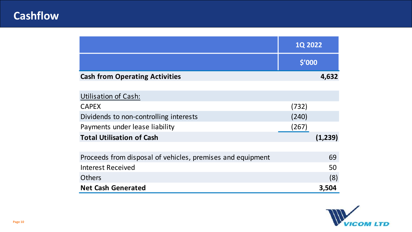## **Cashflow**

|                                                            | <b>1Q 2022</b> |         |
|------------------------------------------------------------|----------------|---------|
|                                                            | \$'000         |         |
| <b>Cash from Operating Activities</b>                      |                | 4,632   |
|                                                            |                |         |
| <b>Utilisation of Cash:</b>                                |                |         |
| <b>CAPEX</b>                                               | (732)          |         |
| Dividends to non-controlling interests                     | (240)          |         |
| Payments under lease liability                             | (267)          |         |
| <b>Total Utilisation of Cash</b>                           |                | (1,239) |
|                                                            |                |         |
| Proceeds from disposal of vehicles, premises and equipment |                | 69      |
| <b>Interest Received</b>                                   |                | 50      |
| <b>Others</b>                                              |                | (8)     |
| <b>Net Cash Generated</b>                                  |                | 3,504   |

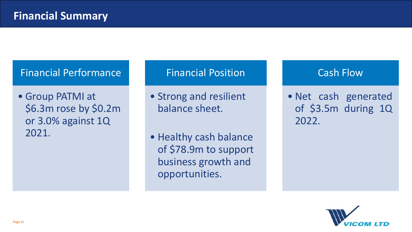## Financial Performance

• Group PATMI at \$6.3m rose by \$0.2m or 3.0% against 1Q 2021.

#### Financial Position

- Strong and resilient balance sheet.
- Healthy cash balance of \$78.9m to support business growth and opportunities.

### Cash Flow

• Net cash generated of \$3.5m during 1Q 2022.